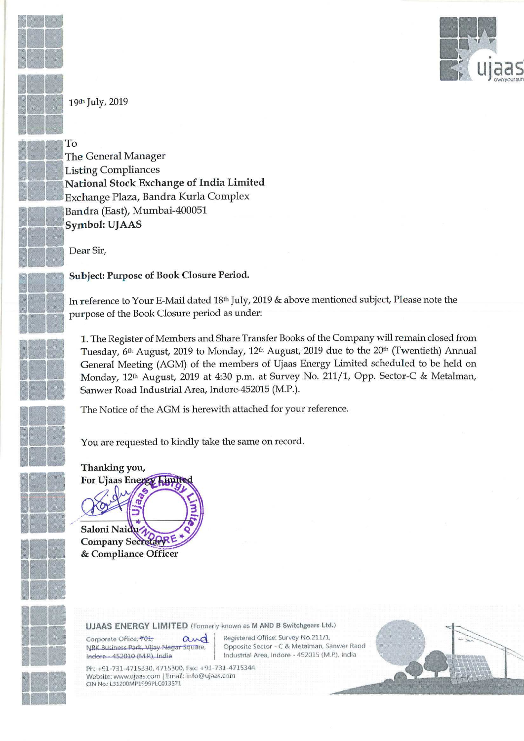

19th July, 2019

III

**"** 

To<br>The General Manager Listing Compliances National Stock Exchange of India Limited Exchange Plaza, Bandra Kurla Complex Bandra (East), Mumbai-400051 Symbol: UJAAS

Dear Sir,

Dear Sir,<br>Subject: Purpose of Book Closure Period.

In reference to Your E-Mail dated 18<sup>th</sup> July, 2019 & above mentioned subject, Please note the purpose of the Book Closure period as under: In reference to Your E-Mail dated 18<sup>th</sup> July, 2019 & above mentioned subject, Please note the<br>purpose of the Book Closure period as under:<br>1. The Register of Members and Share Transfer Books of the Company will remain clo

Tuesday, 6<sup>th</sup> August, 2019 to Monday, 12<sup>th</sup> August, 2019 due to the 20<sup>th</sup> (Twentieth) Annual General Meeting (AGM) of the members of Ujaas Energy Limited scheduled to be held on Monday, 12<sup>th</sup> August, 2019 at 4:30 p.m. at Survey No. 211/1, Opp. Sector-C & Metalman, Sanwer Road Industrial Area, Indore-452015 (M.P.).

The Notice of the AGM is herewith attached for your reference.

You are requested to kindly take the same on record.

# Thanking you,<br>For Ujaas Energy Limit

Saloni Naidu Company Secretary 8: Compliance Officer

UJAAS ENERGY LIMITED (Formerly known as M AND B Switchgears Ltd.)

Corporate Office: 701, **UJAAS ENERGY LIMITED** (Form<br>Corporate Office: <del>701, AMC</del><br>NRK Business Park, Vijay Nagar Square,<br>In<del>dore - 452010 (M.R),</del> India Corporate Office: 701, Canadia Registered Office: Survey No.211/1,<br>
NRK Business Park, Vijay Nagar Square, Opposite Sector - C & Metalman, S.<br>
Indore - 452010 (M.R.), India Industrial Area, Indore - 452015 (M

**INERGY LIMITED** (Formerly known as M AND B Switchgears Ltd:<br>Office:  $\frac{1}{201}$ ,  $\alpha \sim d$  Registered Office: Survey No.211/1,<br>pass Park, Vijay Negar Square, Opposite Sector - C & Metalman, S <sup>4</sup> Opposite Sector <sup>~</sup> <sup>C</sup> & Metalman, Sanwer Raod Industrial Area, Indore - 452015 (M.P.), India

Ph: +91-731-4715330, 4715300, Fax: +91-731-4715344 Website: www.ujaas.com | Email: info@ujaas.com CIN Not: L31200M91999PLC013571

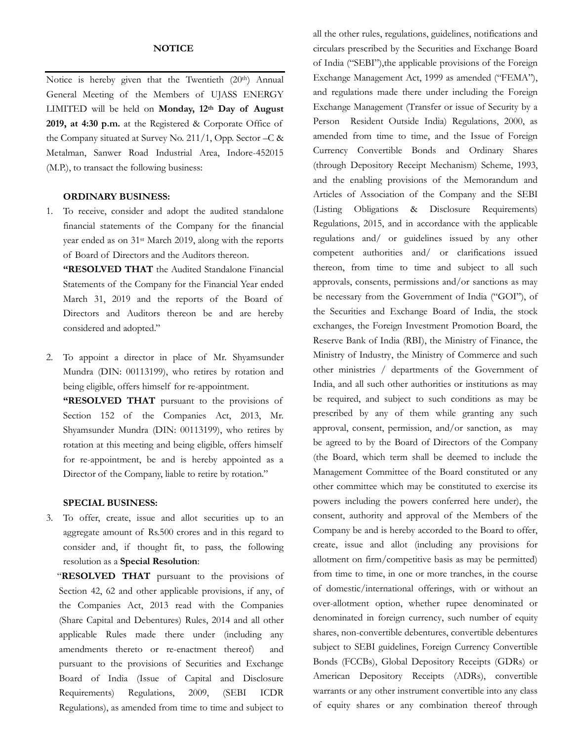## **NOTICE**

Notice is hereby given that the Twentieth (20<sup>th</sup>) Annual General Meeting of the Members of UJASS ENERGY LIMITED will be held on **Monday, 12th Day of August 2019, at 4:30 p.m.** at the Registered & Corporate Office of the Company situated at Survey No. 211/1, Opp. Sector –C & Metalman, Sanwer Road Industrial Area, Indore-452015 (M.P.), to transact the following business:

#### **ORDINARY BUSINESS:**

1. To receive, consider and adopt the audited standalone financial statements of the Company for the financial year ended as on 31st March 2019, along with the reports of Board of Directors and the Auditors thereon.

**"RESOLVED THAT** the Audited Standalone Financial Statements of the Company for the Financial Year ended March 31, 2019 and the reports of the Board of Directors and Auditors thereon be and are hereby considered and adopted."

2. To appoint a director in place of Mr. Shyamsunder Mundra (DIN: 00113199), who retires by rotation and being eligible, offers himself for re-appointment.

**"RESOLVED THAT** pursuant to the provisions of Section 152 of the Companies Act, 2013, Mr. Shyamsunder Mundra (DIN: 00113199), who retires by rotation at this meeting and being eligible, offers himself for re-appointment, be and is hereby appointed as a Director of the Company, liable to retire by rotation."

#### **SPECIAL BUSINESS:**

3. To offer, create, issue and allot securities up to an aggregate amount of Rs.500 crores and in this regard to consider and, if thought fit, to pass, the following resolution as a **Special Resolution**:

"**RESOLVED THAT** pursuant to the provisions of Section 42, 62 and other applicable provisions, if any, of the Companies Act, 2013 read with the Companies (Share Capital and Debentures) Rules, 2014 and all other applicable Rules made there under (including any amendments thereto or re-enactment thereof) and pursuant to the provisions of Securities and Exchange Board of India (Issue of Capital and Disclosure Requirements) Regulations, 2009, (SEBI ICDR Regulations), as amended from time to time and subject to

all the other rules, regulations, guidelines, notifications and circulars prescribed by the Securities and Exchange Board of India ("SEBI"),the applicable provisions of the Foreign Exchange Management Act, 1999 as amended ("FEMA"), and regulations made there under including the Foreign Exchange Management (Transfer or issue of Security by a Person Resident Outside India) Regulations, 2000, as amended from time to time, and the Issue of Foreign Currency Convertible Bonds and Ordinary Shares (through Depository Receipt Mechanism) Scheme, 1993, and the enabling provisions of the Memorandum and Articles of Association of the Company and the SEBI (Listing Obligations & Disclosure Requirements) Regulations, 2015, and in accordance with the applicable regulations and/ or guidelines issued by any other competent authorities and/ or clarifications issued thereon, from time to time and subject to all such approvals, consents, permissions and/or sanctions as may be necessary from the Government of India ("GOI"), of the Securities and Exchange Board of India, the stock exchanges, the Foreign Investment Promotion Board, the Reserve Bank of India (RBI), the Ministry of Finance, the Ministry of Industry, the Ministry of Commerce and such other ministries / departments of the Government of India, and all such other authorities or institutions as may be required, and subject to such conditions as may be prescribed by any of them while granting any such approval, consent, permission, and/or sanction, as may be agreed to by the Board of Directors of the Company (the Board, which term shall be deemed to include the Management Committee of the Board constituted or any other committee which may be constituted to exercise its powers including the powers conferred here under), the consent, authority and approval of the Members of the Company be and is hereby accorded to the Board to offer, create, issue and allot (including any provisions for allotment on firm/competitive basis as may be permitted) from time to time, in one or more tranches, in the course of domestic/international offerings, with or without an over-allotment option, whether rupee denominated or denominated in foreign currency, such number of equity shares, non-convertible debentures, convertible debentures subject to SEBI guidelines, Foreign Currency Convertible Bonds (FCCBs), Global Depository Receipts (GDRs) or American Depository Receipts (ADRs), convertible warrants or any other instrument convertible into any class of equity shares or any combination thereof through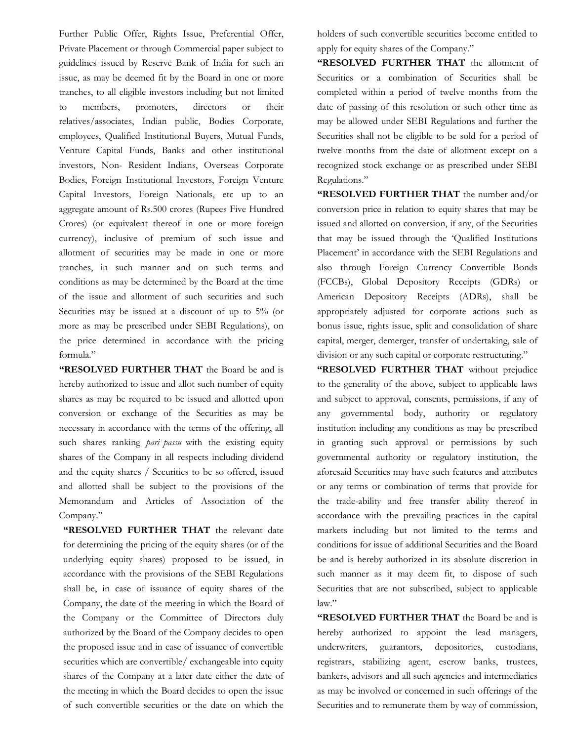Further Public Offer, Rights Issue, Preferential Offer, Private Placement or through Commercial paper subject to guidelines issued by Reserve Bank of India for such an issue, as may be deemed fit by the Board in one or more tranches, to all eligible investors including but not limited to members, promoters, directors or their relatives/associates, Indian public, Bodies Corporate, employees, Qualified Institutional Buyers, Mutual Funds, Venture Capital Funds, Banks and other institutional investors, Non- Resident Indians, Overseas Corporate Bodies, Foreign Institutional Investors, Foreign Venture Capital Investors, Foreign Nationals, etc up to an aggregate amount of Rs.500 crores (Rupees Five Hundred Crores) (or equivalent thereof in one or more foreign currency), inclusive of premium of such issue and allotment of securities may be made in one or more tranches, in such manner and on such terms and conditions as may be determined by the Board at the time of the issue and allotment of such securities and such Securities may be issued at a discount of up to 5% (or more as may be prescribed under SEBI Regulations), on the price determined in accordance with the pricing formula."

**"RESOLVED FURTHER THAT** the Board be and is hereby authorized to issue and allot such number of equity shares as may be required to be issued and allotted upon conversion or exchange of the Securities as may be necessary in accordance with the terms of the offering, all such shares ranking *pari passu* with the existing equity shares of the Company in all respects including dividend and the equity shares / Securities to be so offered, issued and allotted shall be subject to the provisions of the Memorandum and Articles of Association of the Company."

**"RESOLVED FURTHER THAT** the relevant date for determining the pricing of the equity shares (or of the underlying equity shares) proposed to be issued, in accordance with the provisions of the SEBI Regulations shall be, in case of issuance of equity shares of the Company, the date of the meeting in which the Board of the Company or the Committee of Directors duly authorized by the Board of the Company decides to open the proposed issue and in case of issuance of convertible securities which are convertible/ exchangeable into equity shares of the Company at a later date either the date of the meeting in which the Board decides to open the issue of such convertible securities or the date on which the

holders of such convertible securities become entitled to apply for equity shares of the Company."

**"RESOLVED FURTHER THAT** the allotment of Securities or a combination of Securities shall be completed within a period of twelve months from the date of passing of this resolution or such other time as may be allowed under SEBI Regulations and further the Securities shall not be eligible to be sold for a period of twelve months from the date of allotment except on a recognized stock exchange or as prescribed under SEBI Regulations."

**"RESOLVED FURTHER THAT** the number and/or conversion price in relation to equity shares that may be issued and allotted on conversion, if any, of the Securities that may be issued through the 'Qualified Institutions Placement' in accordance with the SEBI Regulations and also through Foreign Currency Convertible Bonds (FCCBs), Global Depository Receipts (GDRs) or American Depository Receipts (ADRs), shall be appropriately adjusted for corporate actions such as bonus issue, rights issue, split and consolidation of share capital, merger, demerger, transfer of undertaking, sale of division or any such capital or corporate restructuring."

**"RESOLVED FURTHER THAT** without prejudice to the generality of the above, subject to applicable laws and subject to approval, consents, permissions, if any of any governmental body, authority or regulatory institution including any conditions as may be prescribed in granting such approval or permissions by such governmental authority or regulatory institution, the aforesaid Securities may have such features and attributes or any terms or combination of terms that provide for the trade-ability and free transfer ability thereof in accordance with the prevailing practices in the capital markets including but not limited to the terms and conditions for issue of additional Securities and the Board be and is hereby authorized in its absolute discretion in such manner as it may deem fit, to dispose of such Securities that are not subscribed, subject to applicable law."

**"RESOLVED FURTHER THAT** the Board be and is hereby authorized to appoint the lead managers, underwriters, guarantors, depositories, custodians, registrars, stabilizing agent, escrow banks, trustees, bankers, advisors and all such agencies and intermediaries as may be involved or concerned in such offerings of the Securities and to remunerate them by way of commission,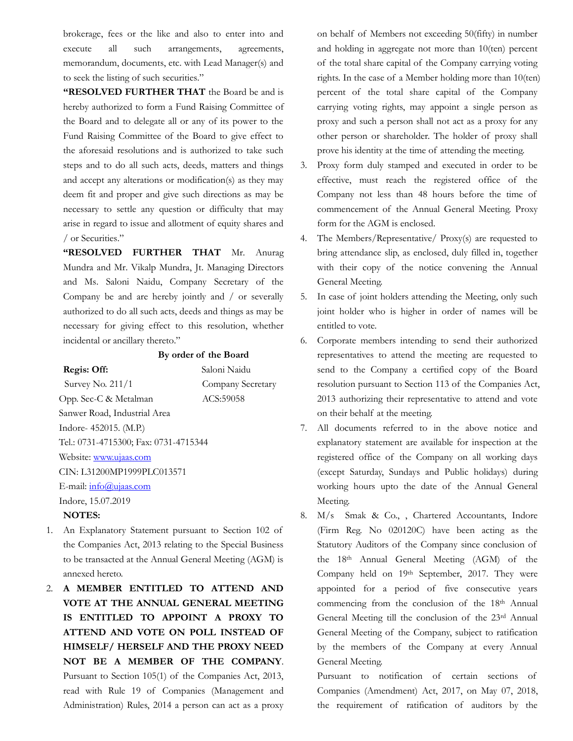brokerage, fees or the like and also to enter into and execute all such arrangements, agreements, memorandum, documents, etc. with Lead Manager(s) and to seek the listing of such securities."

**"RESOLVED FURTHER THAT** the Board be and is hereby authorized to form a Fund Raising Committee of the Board and to delegate all or any of its power to the Fund Raising Committee of the Board to give effect to the aforesaid resolutions and is authorized to take such steps and to do all such acts, deeds, matters and things and accept any alterations or modification(s) as they may deem fit and proper and give such directions as may be necessary to settle any question or difficulty that may arise in regard to issue and allotment of equity shares and / or Securities."

**"RESOLVED FURTHER THAT** Mr. Anurag Mundra and Mr. Vikalp Mundra, Jt. Managing Directors and Ms. Saloni Naidu, Company Secretary of the Company be and are hereby jointly and / or severally authorized to do all such acts, deeds and things as may be necessary for giving effect to this resolution, whether incidental or ancillary thereto."

## **By order of the Board**

| Regis: Off:                           | Saloni Naidu      |
|---------------------------------------|-------------------|
| Survey No. 211/1                      | Company Secretary |
| Opp. Sec-C & Metalman                 | ACS:59058         |
| Sanwer Road, Industrial Area          |                   |
| Indore- 452015. (M.P.)                |                   |
| Tel.: 0731-4715300; Fax: 0731-4715344 |                   |
| Website: www.ujaas.com                |                   |
| CIN: L31200MP1999PLC013571            |                   |
| E-mail: info@ujaas.com                |                   |
| Indore, 15.07.2019                    |                   |
| <b>NOTES:</b>                         |                   |

- 1. An Explanatory Statement pursuant to Section 102 of the Companies Act, 2013 relating to the Special Business to be transacted at the Annual General Meeting (AGM) is annexed hereto.
- 2. **A MEMBER ENTITLED TO ATTEND AND VOTE AT THE ANNUAL GENERAL MEETING IS ENTITLED TO APPOINT A PROXY TO ATTEND AND VOTE ON POLL INSTEAD OF HIMSELF/ HERSELF AND THE PROXY NEED NOT BE A MEMBER OF THE COMPANY**. Pursuant to Section 105(1) of the Companies Act, 2013, read with Rule 19 of Companies (Management and Administration) Rules, 2014 a person can act as a proxy

on behalf of Members not exceeding 50(fifty) in number and holding in aggregate not more than 10(ten) percent of the total share capital of the Company carrying voting rights. In the case of a Member holding more than 10(ten) percent of the total share capital of the Company carrying voting rights, may appoint a single person as proxy and such a person shall not act as a proxy for any other person or shareholder. The holder of proxy shall prove his identity at the time of attending the meeting.

- 3. Proxy form duly stamped and executed in order to be effective, must reach the registered office of the Company not less than 48 hours before the time of commencement of the Annual General Meeting. Proxy form for the AGM is enclosed.
- 4. The Members/Representative/ Proxy(s) are requested to bring attendance slip, as enclosed, duly filled in, together with their copy of the notice convening the Annual General Meeting.
- 5. In case of joint holders attending the Meeting, only such joint holder who is higher in order of names will be entitled to vote.
- 6. Corporate members intending to send their authorized representatives to attend the meeting are requested to send to the Company a certified copy of the Board resolution pursuant to Section 113 of the Companies Act, 2013 authorizing their representative to attend and vote on their behalf at the meeting.
- 7. All documents referred to in the above notice and explanatory statement are available for inspection at the registered office of the Company on all working days (except Saturday, Sundays and Public holidays) during working hours upto the date of the Annual General Meeting.
- 8. M/s Smak & Co., , Chartered Accountants, Indore (Firm Reg. No 020120C) have been acting as the Statutory Auditors of the Company since conclusion of the 18th Annual General Meeting (AGM) of the Company held on 19th September, 2017. They were appointed for a period of five consecutive years commencing from the conclusion of the 18<sup>th</sup> Annual General Meeting till the conclusion of the 23rd Annual General Meeting of the Company, subject to ratification by the members of the Company at every Annual General Meeting.

Pursuant to notification of certain sections of Companies (Amendment) Act, 2017, on May 07, 2018, the requirement of ratification of auditors by the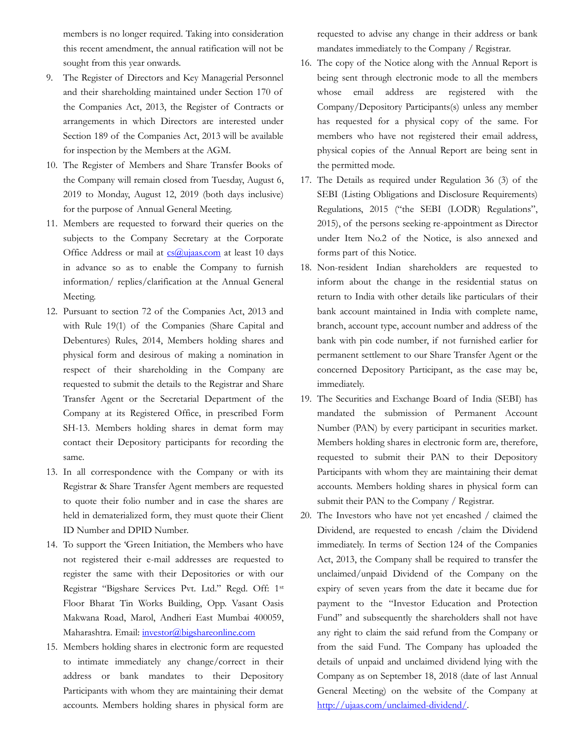members is no longer required. Taking into consideration this recent amendment, the annual ratification will not be sought from this year onwards.

- 9. The Register of Directors and Key Managerial Personnel and their shareholding maintained under Section 170 of the Companies Act, 2013, the Register of Contracts or arrangements in which Directors are interested under Section 189 of the Companies Act, 2013 will be available for inspection by the Members at the AGM.
- 10. The Register of Members and Share Transfer Books of the Company will remain closed from Tuesday, August 6, 2019 to Monday, August 12, 2019 (both days inclusive) for the purpose of Annual General Meeting.
- 11. Members are requested to forward their queries on the subjects to the Company Secretary at the Corporate Office Address or mail at  $cs@$ ujaas.com at least 10 days in advance so as to enable the Company to furnish information/ replies/clarification at the Annual General Meeting.
- 12. Pursuant to section 72 of the Companies Act, 2013 and with Rule 19(1) of the Companies (Share Capital and Debentures) Rules, 2014, Members holding shares and physical form and desirous of making a nomination in respect of their shareholding in the Company are requested to submit the details to the Registrar and Share Transfer Agent or the Secretarial Department of the Company at its Registered Office, in prescribed Form SH-13. Members holding shares in demat form may contact their Depository participants for recording the same.
- 13. In all correspondence with the Company or with its Registrar & Share Transfer Agent members are requested to quote their folio number and in case the shares are held in dematerialized form, they must quote their Client ID Number and DPID Number.
- 14. To support the 'Green Initiation, the Members who have not registered their e-mail addresses are requested to register the same with their Depositories or with our Registrar "Bigshare Services Pvt. Ltd." Regd. Off: 1st Floor Bharat Tin Works Building, Opp. Vasant Oasis Makwana Road, Marol, Andheri East Mumbai 400059, Maharashtra. Email: [investor@bigshareonline.com](mailto:ivestor@bigshareonline.com)
- 15. Members holding shares in electronic form are requested to intimate immediately any change/correct in their address or bank mandates to their Depository Participants with whom they are maintaining their demat accounts. Members holding shares in physical form are

requested to advise any change in their address or bank mandates immediately to the Company / Registrar.

- 16. The copy of the Notice along with the Annual Report is being sent through electronic mode to all the members whose email address are registered with the Company/Depository Participants(s) unless any member has requested for a physical copy of the same. For members who have not registered their email address, physical copies of the Annual Report are being sent in the permitted mode.
- 17. The Details as required under Regulation 36 (3) of the SEBI (Listing Obligations and Disclosure Requirements) Regulations, 2015 ("the SEBI (LODR) Regulations", 2015), of the persons seeking re-appointment as Director under Item No.2 of the Notice, is also annexed and forms part of this Notice.
- 18. Non-resident Indian shareholders are requested to inform about the change in the residential status on return to India with other details like particulars of their bank account maintained in India with complete name, branch, account type, account number and address of the bank with pin code number, if not furnished earlier for permanent settlement to our Share Transfer Agent or the concerned Depository Participant, as the case may be, immediately.
- 19. The Securities and Exchange Board of India (SEBI) has mandated the submission of Permanent Account Number (PAN) by every participant in securities market. Members holding shares in electronic form are, therefore, requested to submit their PAN to their Depository Participants with whom they are maintaining their demat accounts. Members holding shares in physical form can submit their PAN to the Company / Registrar.
- 20. The Investors who have not yet encashed / claimed the Dividend, are requested to encash /claim the Dividend immediately. In terms of Section 124 of the Companies Act, 2013, the Company shall be required to transfer the unclaimed/unpaid Dividend of the Company on the expiry of seven years from the date it became due for payment to the "Investor Education and Protection Fund" and subsequently the shareholders shall not have any right to claim the said refund from the Company or from the said Fund. The Company has uploaded the details of unpaid and unclaimed dividend lying with the Company as on September 18, 2018 (date of last Annual General Meeting) on the website of the Company at [http://ujaas.com/unclaimed-dividend/.](http://ujaas.com/unclaimed-dividend/)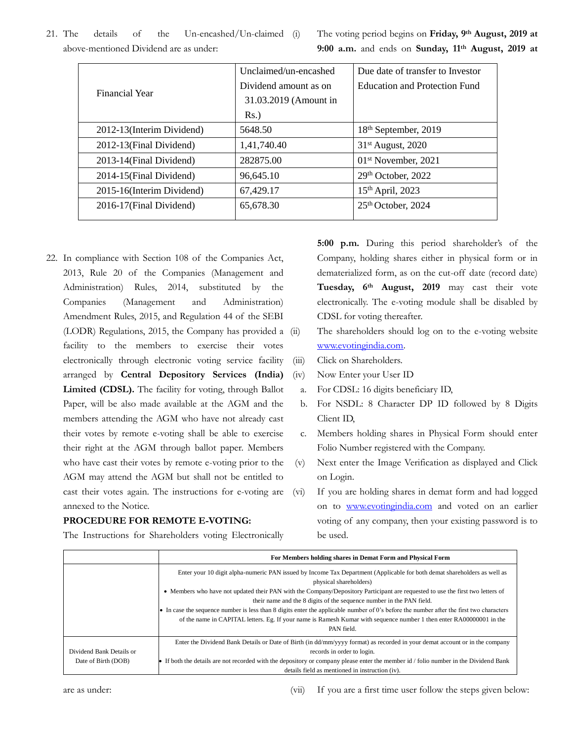| Financial Year            | Unclaimed/un-encashed | Due date of transfer to Investor |
|---------------------------|-----------------------|----------------------------------|
|                           | Dividend amount as on | Education and Protection Fund    |
|                           | 31.03.2019 (Amount in |                                  |
|                           | $Rs.$ )               |                                  |
| 2012-13(Interim Dividend) | 5648.50               | 18 <sup>th</sup> September, 2019 |
| 2012-13(Final Dividend)   | 1,41,740.40           | $31st$ August, 2020              |
| 2013-14(Final Dividend)   | 282875.00             | 01 <sup>st</sup> November, 2021  |
| 2014-15(Final Dividend)   | 96,645.10             | 29th October, 2022               |
| 2015-16(Interim Dividend) | 67,429.17             | $15th$ April, 2023               |
| 2016-17(Final Dividend)   | 65,678.30             | $25th$ October, 2024             |
|                           |                       |                                  |

21. The details of the Un-encashed/Un-claimed above-mentioned Dividend are as under:

(i) The voting period begins on **Friday, 9 th August, 2019 at 9:00 a.m.** and ends on **Sunday, 11th August, 2019 at** 

22. In compliance with Section 108 of the Companies Act, 2013, Rule 20 of the Companies (Management and Administration) Rules, 2014, substituted by the Companies (Management and Administration) Amendment Rules, 2015, and Regulation 44 of the SEBI (LODR) Regulations, 2015, the Company has provided a facility to the members to exercise their votes electronically through electronic voting service facility arranged by **Central Depository Services (India) Limited (CDSL).** The facility for voting, through Ballot Paper, will be also made available at the AGM and the members attending the AGM who have not already cast their votes by remote e-voting shall be able to exercise their right at the AGM through ballot paper. Members who have cast their votes by remote e-voting prior to the AGM may attend the AGM but shall not be entitled to cast their votes again. The instructions for e-voting are annexed to the Notice.

### **PROCEDURE FOR REMOTE E-VOTING:**

The Instructions for Shareholders voting Electronically

**5:00 p.m.** During this period shareholder's of the Company, holding shares either in physical form or in dematerialized form, as on the cut-off date (record date) **Tuesday, 6th August, 2019** may cast their vote electronically. The e-voting module shall be disabled by CDSL for voting thereafter.

- The shareholders should log on to the e-voting website [www.evotingindia.com.](http://www.evotingindia.com/)
- (iii) Click on Shareholders.
- (iv) Now Enter your User ID
	- a. For CDSL: 16 digits beneficiary ID,
	- b. For NSDL: 8 Character DP ID followed by 8 Digits Client ID,
	- c. Members holding shares in Physical Form should enter Folio Number registered with the Company.
- (v) Next enter the Image Verification as displayed and Click on Login.
- (vi) If you are holding shares in demat form and had logged on to [www.evotingindia.com](http://www.evotingindia.com/) and voted on an earlier voting of any company, then your existing password is to be used.

|                          | For Members holding shares in Demat Form and Physical Form                                                                                                                                                                                                      |
|--------------------------|-----------------------------------------------------------------------------------------------------------------------------------------------------------------------------------------------------------------------------------------------------------------|
|                          | Enter your 10 digit alpha-numeric PAN issued by Income Tax Department (Applicable for both demat shareholders as well as<br>physical shareholders)                                                                                                              |
|                          | • Members who have not updated their PAN with the Company/Depository Participant are requested to use the first two letters of<br>their name and the 8 digits of the sequence number in the PAN field.                                                          |
|                          | • In case the sequence number is less than 8 digits enter the applicable number of 0's before the number after the first two characters<br>of the name in CAPITAL letters. Eg. If your name is Ramesh Kumar with sequence number 1 then enter RA00000001 in the |
|                          | PAN field.                                                                                                                                                                                                                                                      |
|                          | Enter the Dividend Bank Details or Date of Birth (in dd/mm/yyyy format) as recorded in your demat account or in the company                                                                                                                                     |
| Dividend Bank Details or | records in order to login.                                                                                                                                                                                                                                      |
| Date of Birth (DOB)      | • If both the details are not recorded with the depository or company please enter the member id / folio number in the Dividend Bank                                                                                                                            |
|                          | details field as mentioned in instruction (iv).                                                                                                                                                                                                                 |

are as under:

(vii) If you are a first time user follow the steps given below: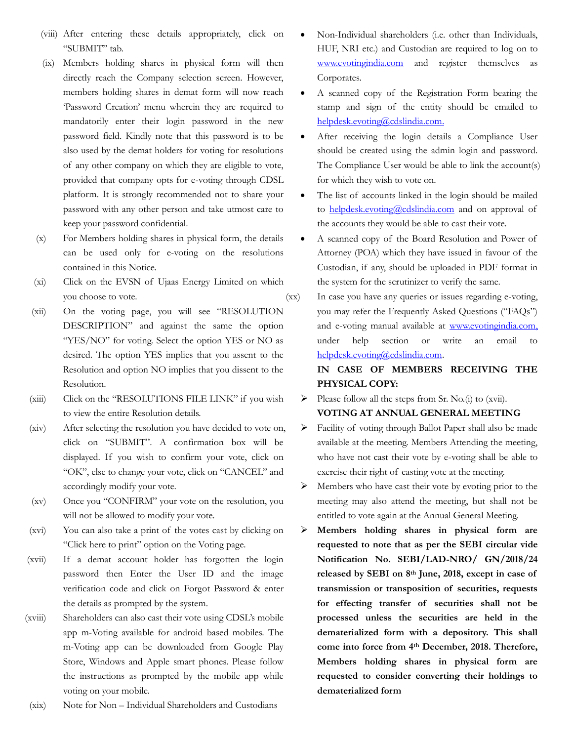- (viii) After entering these details appropriately, click on "SUBMIT" tab.
- (ix) Members holding shares in physical form will then directly reach the Company selection screen. However, members holding shares in demat form will now reach 'Password Creation' menu wherein they are required to mandatorily enter their login password in the new password field. Kindly note that this password is to be also used by the demat holders for voting for resolutions of any other company on which they are eligible to vote, provided that company opts for e-voting through CDSL platform. It is strongly recommended not to share your password with any other person and take utmost care to keep your password confidential.
- (x) For Members holding shares in physical form, the details can be used only for e-voting on the resolutions contained in this Notice.
- (xi) Click on the EVSN of Ujaas Energy Limited on which you choose to vote.
- (xii) On the voting page, you will see "RESOLUTION DESCRIPTION" and against the same the option "YES/NO" for voting. Select the option YES or NO as desired. The option YES implies that you assent to the Resolution and option NO implies that you dissent to the Resolution.
- (xiii) Click on the "RESOLUTIONS FILE LINK" if you wish to view the entire Resolution details.
- (xiv) After selecting the resolution you have decided to vote on, click on "SUBMIT". A confirmation box will be displayed. If you wish to confirm your vote, click on "OK", else to change your vote, click on "CANCEL" and accordingly modify your vote.
- (xv) Once you "CONFIRM" your vote on the resolution, you will not be allowed to modify your vote.
- (xvi) You can also take a print of the votes cast by clicking on "Click here to print" option on the Voting page.
- (xvii) If a demat account holder has forgotten the login password then Enter the User ID and the image verification code and click on Forgot Password & enter the details as prompted by the system.
- (xviii) Shareholders can also cast their vote using CDSL's mobile app m-Voting available for android based mobiles. The m-Voting app can be downloaded from Google Play Store, Windows and Apple smart phones. Please follow the instructions as prompted by the mobile app while voting on your mobile.
- (xix) Note for Non Individual Shareholders and Custodians
- Non-Individual shareholders (i.e. other than Individuals, HUF, NRI etc.) and Custodian are required to log on to [www.evotingindia.com](http://www.evotingindia.com/) and register themselves as Corporates.
- A scanned copy of the Registration Form bearing the stamp and sign of the entity should be emailed to [helpdesk.evoting@cdslindia.com.](mailto:helpdesk.evoting@cdslindia.com)
- After receiving the login details a Compliance User should be created using the admin login and password. The Compliance User would be able to link the account(s) for which they wish to vote on.
- The list of accounts linked in the login should be mailed to helpdesk.evoting@cdslindia.com and on approval of the accounts they would be able to cast their vote.
- A scanned copy of the Board Resolution and Power of Attorney (POA) which they have issued in favour of the Custodian, if any, should be uploaded in PDF format in the system for the scrutinizer to verify the same.

(xx) In case you have any queries or issues regarding e-voting, you may refer the Frequently Asked Questions ("FAQs") and e-voting manual available at [www.evotingindia.com,](http://www.evotingindia.com/) under help section or write an email to [helpdesk.evoting@cdslindia.com.](mailto:helpdesk.evoting@cdslindia.com)

> **IN CASE OF MEMBERS RECEIVING THE PHYSICAL COPY:**

- Please follow all the steps from Sr. No.(i) to (xvii). **VOTING AT ANNUAL GENERAL MEETING**
- $\triangleright$  Facility of voting through Ballot Paper shall also be made available at the meeting. Members Attending the meeting, who have not cast their vote by e-voting shall be able to exercise their right of casting vote at the meeting.
- $\triangleright$  Members who have cast their vote by evoting prior to the meeting may also attend the meeting, but shall not be entitled to vote again at the Annual General Meeting.
- **Members holding shares in physical form are requested to note that as per the SEBI circular vide Notification No. SEBI/LAD-NRO/ GN/2018/24 released by SEBI on 8th June, 2018, except in case of transmission or transposition of securities, requests for effecting transfer of securities shall not be processed unless the securities are held in the dematerialized form with a depository. This shall come into force from 4th December, 2018. Therefore, Members holding shares in physical form are requested to consider converting their holdings to dematerialized form**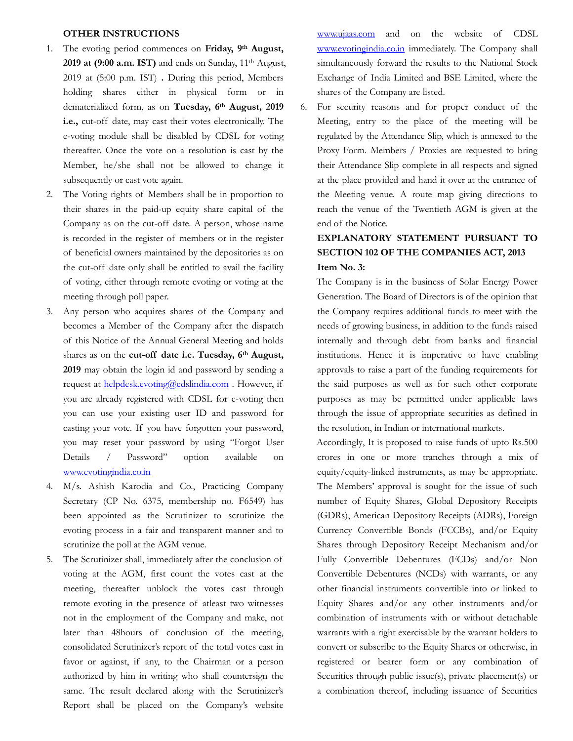### **OTHER INSTRUCTIONS**

- 1. The evoting period commences on **Friday, 9th August, 2019 at (9:00 a.m. IST)** and ends on Sunday, 11<sup>th</sup> August, 2019 at (5:00 p.m. IST) **.** During this period, Members holding shares either in physical form or in dematerialized form, as on **Tuesday, 6th August, 2019 i.e.,** cut-off date, may cast their votes electronically. The e-voting module shall be disabled by CDSL for voting thereafter. Once the vote on a resolution is cast by the Member, he/she shall not be allowed to change it subsequently or cast vote again.
- 2. The Voting rights of Members shall be in proportion to their shares in the paid-up equity share capital of the Company as on the cut-off date. A person, whose name is recorded in the register of members or in the register of beneficial owners maintained by the depositories as on the cut-off date only shall be entitled to avail the facility of voting, either through remote evoting or voting at the meeting through poll paper.
- 3. Any person who acquires shares of the Company and becomes a Member of the Company after the dispatch of this Notice of the Annual General Meeting and holds shares as on the **cut-off date i.e. Tuesday, 6th August, 2019** may obtain the login id and password by sending a request at [helpdesk.evoting@cdslindia.com](mailto:helpdesk.evoting@cdslindia.com) . However, if you are already registered with CDSL for e-voting then you can use your existing user ID and password for casting your vote. If you have forgotten your password, you may reset your password by using "Forgot User Details / Password" option available on [www.evotingindia.co.in](http://www.evotingindia.co.in/)
- 4. M/s. Ashish Karodia and Co., Practicing Company Secretary (CP No. 6375, membership no. F6549) has been appointed as the Scrutinizer to scrutinize the evoting process in a fair and transparent manner and to scrutinize the poll at the AGM venue.
- 5. The Scrutinizer shall, immediately after the conclusion of voting at the AGM, first count the votes cast at the meeting, thereafter unblock the votes cast through remote evoting in the presence of atleast two witnesses not in the employment of the Company and make, not later than 48hours of conclusion of the meeting, consolidated Scrutinizer's report of the total votes cast in favor or against, if any, to the Chairman or a person authorized by him in writing who shall countersign the same. The result declared along with the Scrutinizer's Report shall be placed on the Company's website

[www.ujaas.com](http://www.ujaas.com/) and on the website of CDSL [www.evotingindia.co.in](http://www.evotingindia.co.in/) immediately. The Company shall simultaneously forward the results to the National Stock Exchange of India Limited and BSE Limited, where the shares of the Company are listed.

6. For security reasons and for proper conduct of the Meeting, entry to the place of the meeting will be regulated by the Attendance Slip, which is annexed to the Proxy Form. Members / Proxies are requested to bring their Attendance Slip complete in all respects and signed at the place provided and hand it over at the entrance of the Meeting venue. A route map giving directions to reach the venue of the Twentieth AGM is given at the end of the Notice.

## **EXPLANATORY STATEMENT PURSUANT TO SECTION 102 OF THE COMPANIES ACT, 2013 Item No. 3:**

The Company is in the business of Solar Energy Power Generation. The Board of Directors is of the opinion that the Company requires additional funds to meet with the needs of growing business, in addition to the funds raised internally and through debt from banks and financial institutions. Hence it is imperative to have enabling approvals to raise a part of the funding requirements for the said purposes as well as for such other corporate purposes as may be permitted under applicable laws through the issue of appropriate securities as defined in the resolution, in Indian or international markets.

Accordingly, It is proposed to raise funds of upto Rs.500 crores in one or more tranches through a mix of equity/equity-linked instruments, as may be appropriate. The Members' approval is sought for the issue of such number of Equity Shares, Global Depository Receipts (GDRs), American Depository Receipts (ADRs), Foreign Currency Convertible Bonds (FCCBs), and/or Equity Shares through Depository Receipt Mechanism and/or Fully Convertible Debentures (FCDs) and/or Non Convertible Debentures (NCDs) with warrants, or any other financial instruments convertible into or linked to Equity Shares and/or any other instruments and/or combination of instruments with or without detachable warrants with a right exercisable by the warrant holders to convert or subscribe to the Equity Shares or otherwise, in registered or bearer form or any combination of Securities through public issue(s), private placement(s) or a combination thereof, including issuance of Securities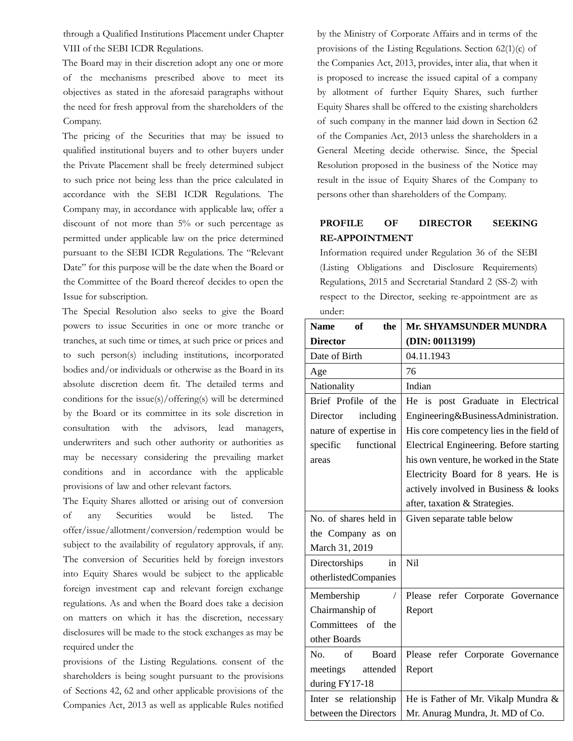through a Qualified Institutions Placement under Chapter VIII of the SEBI ICDR Regulations.

The Board may in their discretion adopt any one or more of the mechanisms prescribed above to meet its objectives as stated in the aforesaid paragraphs without the need for fresh approval from the shareholders of the Company.

The pricing of the Securities that may be issued to qualified institutional buyers and to other buyers under the Private Placement shall be freely determined subject to such price not being less than the price calculated in accordance with the SEBI ICDR Regulations. The Company may, in accordance with applicable law, offer a discount of not more than 5% or such percentage as permitted under applicable law on the price determined pursuant to the SEBI ICDR Regulations. The "Relevant Date" for this purpose will be the date when the Board or the Committee of the Board thereof decides to open the Issue for subscription.

The Special Resolution also seeks to give the Board powers to issue Securities in one or more tranche or tranches, at such time or times, at such price or prices and to such person(s) including institutions, incorporated bodies and/or individuals or otherwise as the Board in its absolute discretion deem fit. The detailed terms and conditions for the issue(s)/offering(s) will be determined by the Board or its committee in its sole discretion in consultation with the advisors, lead managers, underwriters and such other authority or authorities as may be necessary considering the prevailing market conditions and in accordance with the applicable provisions of law and other relevant factors.

The Equity Shares allotted or arising out of conversion of any Securities would be listed. The offer/issue/allotment/conversion/redemption would be subject to the availability of regulatory approvals, if any. The conversion of Securities held by foreign investors into Equity Shares would be subject to the applicable foreign investment cap and relevant foreign exchange regulations. As and when the Board does take a decision on matters on which it has the discretion, necessary disclosures will be made to the stock exchanges as may be required under the

provisions of the Listing Regulations. consent of the shareholders is being sought pursuant to the provisions of Sections 42, 62 and other applicable provisions of the Companies Act, 2013 as well as applicable Rules notified by the Ministry of Corporate Affairs and in terms of the provisions of the Listing Regulations. Section 62(1)(c) of the Companies Act, 2013, provides, inter alia, that when it is proposed to increase the issued capital of a company by allotment of further Equity Shares, such further Equity Shares shall be offered to the existing shareholders of such company in the manner laid down in Section 62 of the Companies Act, 2013 unless the shareholders in a General Meeting decide otherwise. Since, the Special Resolution proposed in the business of the Notice may result in the issue of Equity Shares of the Company to persons other than shareholders of the Company.

## **PROFILE OF DIRECTOR SEEKING RE-APPOINTMENT**

Information required under Regulation 36 of the SEBI (Listing Obligations and Disclosure Requirements) Regulations, 2015 and Secretarial Standard 2 (SS-2) with respect to the Director, seeking re-appointment are as under:

| <b>Name</b><br>of<br>the          | Mr. SHYAMSUNDER MUNDRA                   |  |
|-----------------------------------|------------------------------------------|--|
| <b>Director</b>                   | (DIN: 00113199)                          |  |
| Date of Birth                     | 04.11.1943                               |  |
| Age                               | 76                                       |  |
| Nationality                       | Indian                                   |  |
| Brief Profile of the              | He is<br>post Graduate in Electrical     |  |
| including<br>Director             | Engineering&BusinessAdministration.      |  |
| nature of expertise in            | His core competency lies in the field of |  |
| functional<br>specific            | Electrical Engineering. Before starting  |  |
| areas                             | his own venture, he worked in the State  |  |
|                                   | Electricity Board for 8 years. He is     |  |
|                                   | actively involved in Business & looks    |  |
|                                   | after, taxation & Strategies.            |  |
| No. of shares held in             | Given separate table below               |  |
| the Company as on                 |                                          |  |
| March 31, 2019                    |                                          |  |
| Directorships<br>in               | Nil                                      |  |
| otherlistedCompanies              |                                          |  |
| $\sqrt{2}$<br>Membership          | Please refer Corporate Governance        |  |
| Chairmanship of                   | Report                                   |  |
| Committees of<br>the              |                                          |  |
| other Boards                      |                                          |  |
| <b>Board</b><br>No.<br>$\alpha$ f | Please refer Corporate Governance        |  |
| attended<br>meetings              | Report                                   |  |
| during FY17-18                    |                                          |  |
| Inter se relationship             | He is Father of Mr. Vikalp Mundra &      |  |
| between the Directors             | Mr. Anurag Mundra, Jt. MD of Co.         |  |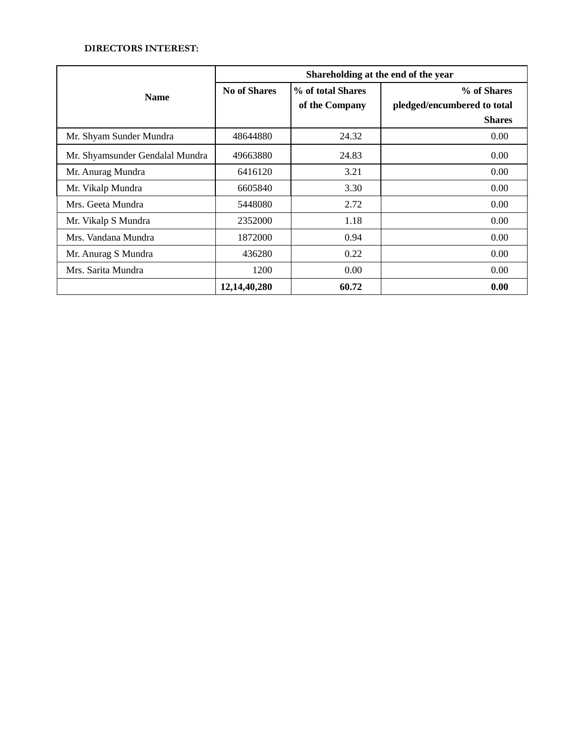## **DIRECTORS INTEREST:**

|                                 | Shareholding at the end of the year |                                     |                                                             |  |
|---------------------------------|-------------------------------------|-------------------------------------|-------------------------------------------------------------|--|
| <b>Name</b>                     | <b>No of Shares</b>                 | % of total Shares<br>of the Company | % of Shares<br>pledged/encumbered to total<br><b>Shares</b> |  |
| Mr. Shyam Sunder Mundra         | 48644880                            | 24.32                               | 0.00                                                        |  |
| Mr. Shyamsunder Gendalal Mundra | 49663880                            | 24.83                               | 0.00                                                        |  |
| Mr. Anurag Mundra               | 6416120                             | 3.21                                | 0.00                                                        |  |
| Mr. Vikalp Mundra               | 6605840                             | 3.30                                | 0.00                                                        |  |
| Mrs. Geeta Mundra               | 5448080                             | 2.72                                | 0.00                                                        |  |
| Mr. Vikalp S Mundra             | 2352000                             | 1.18                                | 0.00                                                        |  |
| Mrs. Vandana Mundra             | 1872000                             | 0.94                                | 0.00                                                        |  |
| Mr. Anurag S Mundra             | 436280                              | 0.22                                | 0.00                                                        |  |
| Mrs. Sarita Mundra              | 1200                                | 0.00                                | 0.00                                                        |  |
|                                 | 12, 14, 40, 280                     | 60.72                               | 0.00                                                        |  |